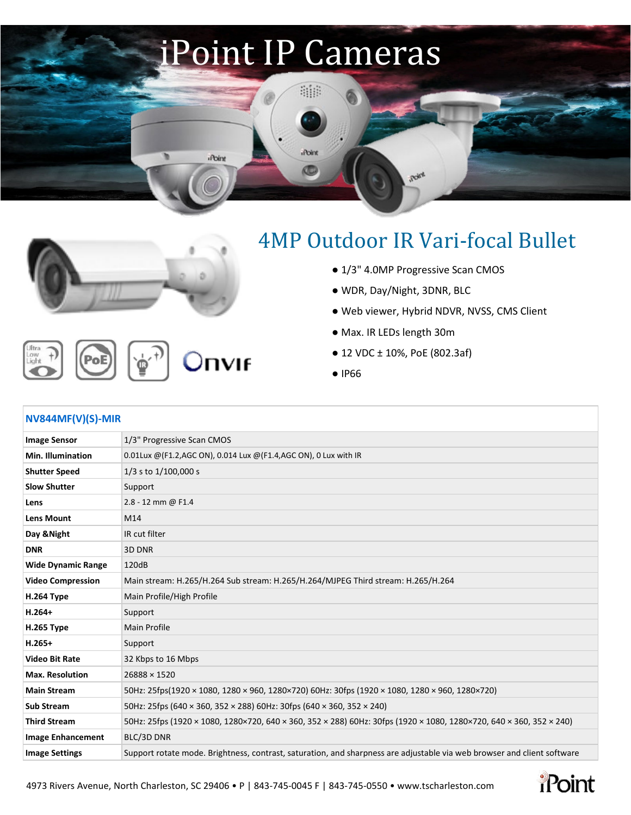## iPoint IP Cameras

age

Point

O

**iPoint** 

**NVIF** 



.ow<br>.ight

## [4](http://www.netvisiondvr.com/Home/ProductDetails/733)MP Outdoor IR Vari-focal Bullet

**Roley** 

- 1/3" 4.0MP Progressive Scan CMOS
- WDR, Day/Night, 3DNR, BLC
- Web viewer, Hybrid NDVR, NVSS, CMS Client
- Max. IR LEDs length 30m
- 12 VDC ± 10%, PoE (802.3af)
- IP66

| $NV844MF(V)(S)-MIR$       |                                                                                                                         |
|---------------------------|-------------------------------------------------------------------------------------------------------------------------|
| <b>Image Sensor</b>       | 1/3" Progressive Scan CMOS                                                                                              |
| <b>Min. Illumination</b>  | 0.01Lux @(F1.2,AGC ON), 0.014 Lux @(F1.4,AGC ON), 0 Lux with IR                                                         |
| <b>Shutter Speed</b>      | 1/3 s to 1/100,000 s                                                                                                    |
| <b>Slow Shutter</b>       | Support                                                                                                                 |
| Lens                      | 2.8 - 12 mm @ F1.4                                                                                                      |
| <b>Lens Mount</b>         | M14                                                                                                                     |
| Day & Night               | IR cut filter                                                                                                           |
| <b>DNR</b>                | 3D DNR                                                                                                                  |
| <b>Wide Dynamic Range</b> | 120dB                                                                                                                   |
| <b>Video Compression</b>  | Main stream: H.265/H.264 Sub stream: H.265/H.264/MJPEG Third stream: H.265/H.264                                        |
| <b>H.264 Type</b>         | Main Profile/High Profile                                                                                               |
| $H.264+$                  | Support                                                                                                                 |
| <b>H.265 Type</b>         | <b>Main Profile</b>                                                                                                     |
| $H.265+$                  | Support                                                                                                                 |
| <b>Video Bit Rate</b>     | 32 Kbps to 16 Mbps                                                                                                      |
| <b>Max. Resolution</b>    | $26888 \times 1520$                                                                                                     |
| <b>Main Stream</b>        | 50Hz: 25fps(1920 × 1080, 1280 × 960, 1280×720) 60Hz: 30fps (1920 × 1080, 1280 × 960, 1280×720)                          |
| <b>Sub Stream</b>         | 50Hz: 25fps (640 × 360, 352 × 288) 60Hz: 30fps (640 × 360, 352 × 240)                                                   |
| <b>Third Stream</b>       | 50Hz: 25fps (1920 × 1080, 1280×720, 640 × 360, 352 × 288) 60Hz: 30fps (1920 × 1080, 1280×720, 640 × 360, 352 × 240)     |
| <b>Image Enhancement</b>  | BLC/3D DNR                                                                                                              |
| <b>Image Settings</b>     | Support rotate mode. Brightness, contrast, saturation, and sharpness are adjustable via web browser and client software |